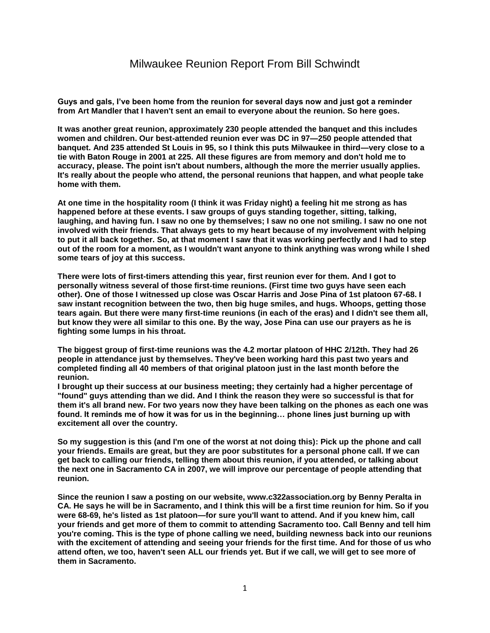## Milwaukee Reunion Report From Bill Schwindt

**Guys and gals, I've been home from the reunion for several days now and just got a reminder from Art Mandler that I haven't sent an email to everyone about the reunion. So here goes.**

**It was another great reunion, approximately 230 people attended the banquet and this includes women and children. Our best-attended reunion ever was DC in 97—250 people attended that banquet. And 235 attended St Louis in 95, so I think this puts Milwaukee in third—very close to a tie with Baton Rouge in 2001 at 225. All these figures are from memory and don't hold me to accuracy, please. The point isn't about numbers, although the more the merrier usually applies. It's really about the people who attend, the personal reunions that happen, and what people take home with them.**

**At one time in the hospitality room (I think it was Friday night) a feeling hit me strong as has happened before at these events. I saw groups of guys standing together, sitting, talking, laughing, and having fun. I saw no one by themselves; I saw no one not smiling. I saw no one not involved with their friends. That always gets to my heart because of my involvement with helping to put it all back together. So, at that moment I saw that it was working perfectly and I had to step out of the room for a moment, as I wouldn't want anyone to think anything was wrong while I shed some tears of joy at this success.**

**There were lots of first-timers attending this year, first reunion ever for them. And I got to personally witness several of those first-time reunions. (First time two guys have seen each other). One of those I witnessed up close was Oscar Harris and Jose Pina of 1st platoon 67-68. I saw instant recognition between the two, then big huge smiles, and hugs. Whoops, getting those tears again. But there were many first-time reunions (in each of the eras) and I didn't see them all, but know they were all similar to this one. By the way, Jose Pina can use our prayers as he is fighting some lumps in his throat.**

**The biggest group of first-time reunions was the 4.2 mortar platoon of HHC 2/12th. They had 26 people in attendance just by themselves. They've been working hard this past two years and completed finding all 40 members of that original platoon just in the last month before the reunion.**

**I brought up their success at our business meeting; they certainly had a higher percentage of "found" guys attending than we did. And I think the reason they were so successful is that for them it's all brand new. For two years now they have been talking on the phones as each one was found. It reminds me of how it was for us in the beginning… phone lines just burning up with excitement all over the country.**

**So my suggestion is this (and I'm one of the worst at not doing this): Pick up the phone and call your friends. Emails are great, but they are poor substitutes for a personal phone call. If we can get back to calling our friends, telling them about this reunion, if you attended, or talking about the next one in Sacramento CA in 2007, we will improve our percentage of people attending that reunion.**

**Since the reunion I saw a posting on our website, www.c322association.org by Benny Peralta in CA. He says he will be in Sacramento, and I think this will be a first time reunion for him. So if you were 68-69, he's listed as 1st platoon—for sure you'll want to attend. And if you knew him, call your friends and get more of them to commit to attending Sacramento too. Call Benny and tell him you're coming. This is the type of phone calling we need, building newness back into our reunions with the excitement of attending and seeing your friends for the first time. And for those of us who attend often, we too, haven't seen ALL our friends yet. But if we call, we will get to see more of them in Sacramento.**